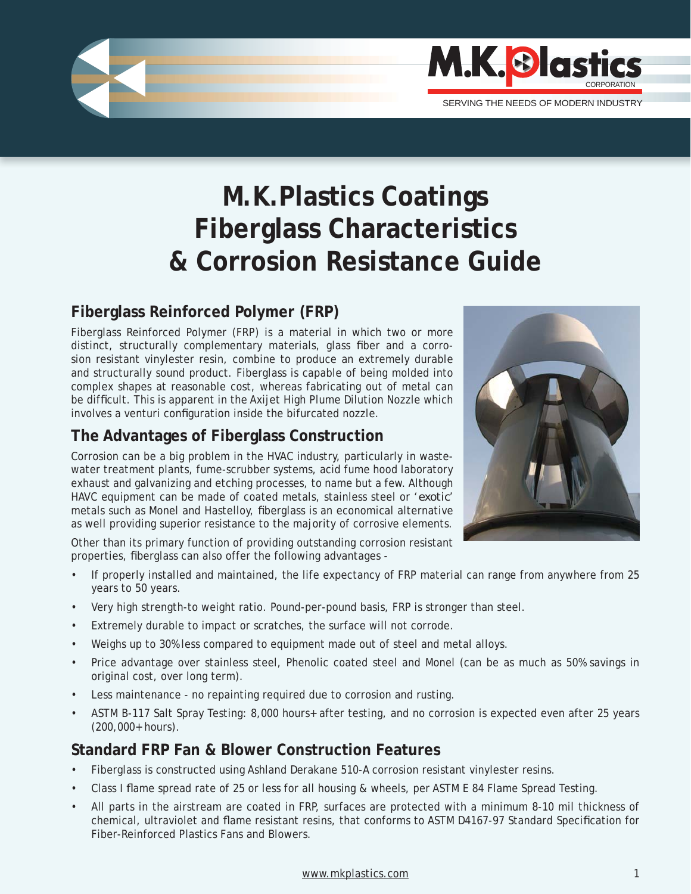

# **M.K.Plastics Coatings Fiberglass Characteristics & Corrosion Resistance Guide**

# **Fiberglass Reinforced Polymer (FRP)**

Fiberglass Reinforced Polymer (FRP) is a material in which two or more distinct, structurally complementary materials, glass fiber and a corrosion resistant vinylester resin, combine to produce an extremely durable and structurally sound product. Fiberglass is capable of being molded into complex shapes at reasonable cost, whereas fabricating out of metal can be difficult. This is apparent in the Axijet High Plume Dilution Nozzle which involves a venturi configuration inside the bifurcated nozzle.

## **The Advantages of Fiberglass Construction**

Corrosion can be a big problem in the HVAC industry, particularly in wastewater treatment plants, fume-scrubber systems, acid fume hood laboratory exhaust and galvanizing and etching processes, to name but a few. Although HAVC equipment can be made of coated metals, stainless steel or '*exotic*' metals such as Monel and Hastelloy, fiberglass is an economical alternative as well providing superior resistance to the majority of corrosive elements.

Other than its primary function of providing outstanding corrosion resistant properties, fiberglass can also offer the following advantages -

- If properly installed and maintained, the life expectancy of FRP material can range from anywhere from 25 years to 50 years.
- Very high strength-to weight ratio. Pound-per-pound basis, FRP is stronger than steel.
- Extremely durable to impact or scratches, the surface will not corrode.
- Weighs up to 30% less compared to equipment made out of steel and metal alloys.
- Price advantage over stainless steel, Phenolic coated steel and Monel (can be as much as 50% savings in original cost, over long term).
- Less maintenance no repainting required due to corrosion and rusting.
- ASTM B-117 Salt Spray Testing: 8,000 hours+ after testing, and no corrosion is expected even after 25 years (200,000+ hours).

# **Standard FRP Fan & Blower Construction Features**

- Fiberglass is constructed using Ashland Derakane 510-A corrosion resistant vinylester resins.
- Class I flame spread rate of 25 or less for all housing & wheels, per ASTM E 84 Flame Spread Testing.
- All parts in the airstream are coated in FRP, surfaces are protected with a minimum 8-10 mil thickness of chemical, ultraviolet and flame resistant resins, that conforms to ASTM D4167-97 Standard Specification for Fiber-Reinforced Plastics Fans and Blowers.

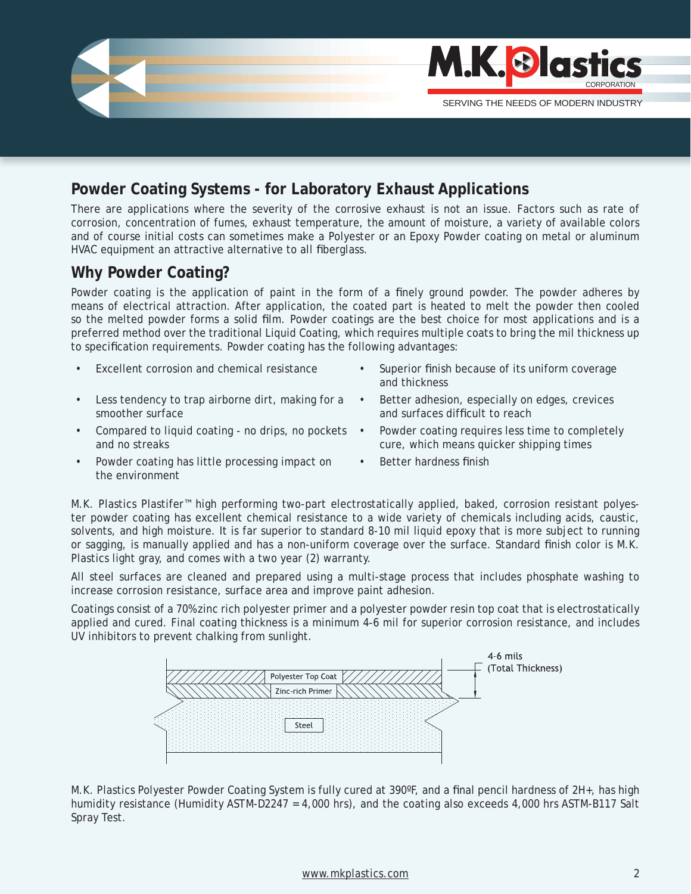

## **Powder Coating Systems - for Laboratory Exhaust Applications**

There are applications where the severity of the corrosive exhaust is not an issue. Factors such as rate of corrosion, concentration of fumes, exhaust temperature, the amount of moisture, a variety of available colors and of course initial costs can sometimes make a Polyester or an Epoxy Powder coating on metal or aluminum HVAC equipment an attractive alternative to all fiberglass.

## **Why Powder Coating?**

Powder coating is the application of paint in the form of a finely ground powder. The powder adheres by means of electrical attraction. After application, the coated part is heated to melt the powder then cooled so the melted powder forms a solid film. Powder coatings are the best choice for most applications and is a preferred method over the traditional Liquid Coating, which requires multiple coats to bring the mil thickness up to specification requirements. Powder coating has the following advantages:

- 
- Less tendency to trap airborne dirt, making for a smoother surface
- Compared to liquid coating no drips, no pockets and no streaks
- Powder coating has little processing impact on the environment
- Excellent corrosion and chemical resistance Superior finish because of its uniform coverage and thickness
	- Better adhesion, especially on edges, crevices and surfaces difficult to reach
	- Powder coating requires less time to completely cure, which means quicker shipping times
	- Better hardness finish

M.K. Plastics Plastifer™ high performing two-part electrostatically applied, baked, corrosion resistant polyester powder coating has excellent chemical resistance to a wide variety of chemicals including acids, caustic, solvents, and high moisture. It is far superior to standard 8-10 mil liquid epoxy that is more subject to running or sagging, is manually applied and has a non-uniform coverage over the surface. Standard finish color is M.K. Plastics light gray, and comes with a two year (2) warranty.

All steel surfaces are cleaned and prepared using a multi-stage process that includes phosphate washing to increase corrosion resistance, surface area and improve paint adhesion.

Coatings consist of a 70% zinc rich polyester primer and a polyester powder resin top coat that is electrostatically applied and cured. Final coating thickness is a minimum 4-6 mil for superior corrosion resistance, and includes UV inhibitors to prevent chalking from sunlight.



M.K. Plastics Polyester Powder Coating System is fully cured at 390°F, and a final pencil hardness of 2H+, has high humidity resistance (Humidity ASTM-D2247 = 4,000 hrs), and the coating also exceeds 4,000 hrs ASTM-B117 Salt Spray Test.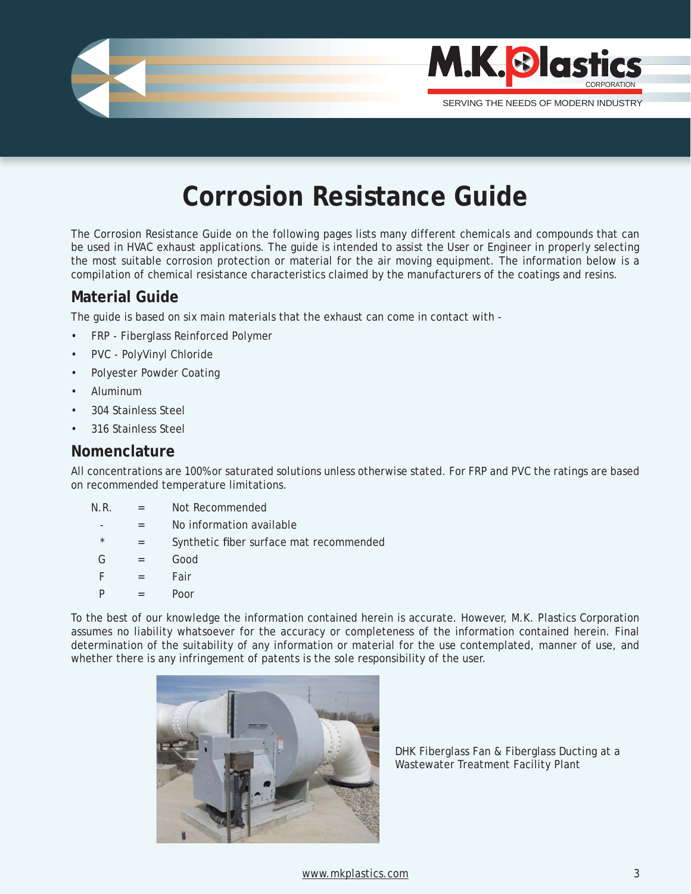

# **Corrosion Resistance Guide**

The Corrosion Resistance Guide on the following pages lists many different chemicals and compounds that can be used in HVAC exhaust applications. The guide is intended to assist the User or Engineer in properly selecting the most suitable corrosion protection or material for the air moving equipment. The information below is a compilation of chemical resistance characteristics claimed by the manufacturers of the coatings and resins.

### **Material Guide**

The guide is based on six main materials that the exhaust can come in contact with -

- FRP Fiberglass Reinforced Polymer
- PVC PolyVinyl Chloride
- Polyester Powder Coating
- Aluminum
- 304 Stainless Steel
- 316 Stainless Steel

### **Nomenclature**

All concentrations are 100% or saturated solutions unless otherwise stated. For FRP and PVC the ratings are based on recommended temperature limitations.

- N.R. = Not Recommended
	- = No information available
	- $=$  Synthetic fiber surface mat recommended
- G = Good
- $F = Fair$
- $P = Poor$

To the best of our knowledge the information contained herein is accurate. However, M.K. Plastics Corporation assumes no liability whatsoever for the accuracy or completeness of the information contained herein. Final determination of the suitability of any information or material for the use contemplated, manner of use, and whether there is any infringement of patents is the sole responsibility of the user.



DHK Fiberglass Fan & Fiberglass Ducting at a Wastewater Treatment Facility Plant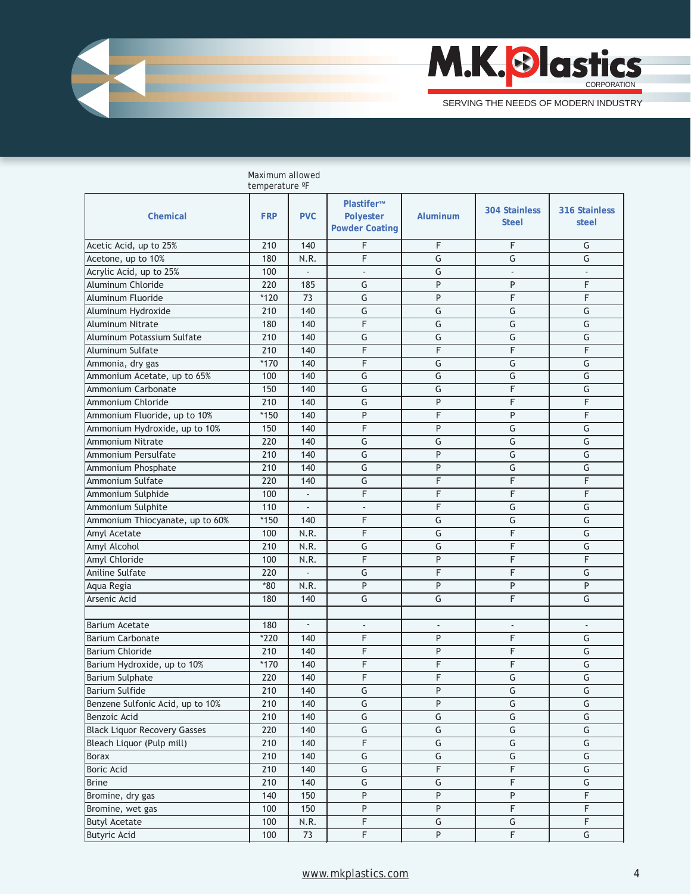

| temperature °F                      |            |                |                                                  |                         |                                      |                         |  |
|-------------------------------------|------------|----------------|--------------------------------------------------|-------------------------|--------------------------------------|-------------------------|--|
| Chemical                            | <b>FRP</b> | <b>PVC</b>     | Plastifer™<br>Polyester<br><b>Powder Coating</b> | Aluminum                | <b>304 Stainless</b><br><b>Steel</b> | 316 Stainless<br>steel  |  |
| Acetic Acid, up to 25%              | 210        | 140            | F                                                | F                       | F                                    | G                       |  |
| Acetone, up to 10%                  | 180        | N.R.           | F                                                | G                       | G                                    | G                       |  |
| Acrylic Acid, up to 25%             | 100        | $\overline{a}$ | $\blacksquare$                                   | G                       | $\blacksquare$                       | $\blacksquare$          |  |
| Aluminum Chloride                   | 220        | 185            | G                                                | P                       | P                                    | F                       |  |
| Aluminum Fluoride                   | $*120$     | 73             | G                                                | P                       | F                                    | F                       |  |
| Aluminum Hydroxide                  | 210        | 140            | $\overline{\mathsf{G}}$                          | G                       | G                                    | G                       |  |
| <b>Aluminum Nitrate</b>             | 180        | 140            | F                                                | G                       | $\overline{\mathsf{G}}$              | G                       |  |
| Aluminum Potassium Sulfate          | 210        | 140            | G                                                | G                       | G                                    | G                       |  |
| Aluminum Sulfate                    | 210        | 140            | F                                                | F                       | F                                    | F                       |  |
| Ammonia, dry gas                    | $*170$     | 140            | F                                                | G                       | G                                    | G                       |  |
| Ammonium Acetate, up to 65%         | 100        | 140            | $\overline{\mathsf{G}}$                          | G                       | G                                    | G                       |  |
| <b>Ammonium Carbonate</b>           | 150        | 140            | G                                                | G                       | F                                    | G                       |  |
| Ammonium Chloride                   | 210        | 140            | G                                                | P                       | F                                    | F                       |  |
| Ammonium Fluoride, up to 10%        | $*150$     | 140            | P                                                | F                       | P                                    | F                       |  |
| Ammonium Hydroxide, up to 10%       | 150        | 140            | F                                                | P                       | G                                    | G                       |  |
| Ammonium Nitrate                    | 220        | 140            | G                                                | G                       | G                                    | G                       |  |
| Ammonium Persulfate                 | 210        | 140            | G                                                | P                       | G                                    | G                       |  |
| Ammonium Phosphate                  | 210        | 140            | G                                                | P                       | G                                    | G                       |  |
| Ammonium Sulfate                    | 220        | 140            | $\overline{\mathsf{G}}$                          | F                       | $\overline{\mathsf{F}}$              | F                       |  |
| Ammonium Sulphide                   | 100        | $\blacksquare$ | F                                                | F                       | F                                    | F                       |  |
| Ammonium Sulphite                   | 110        | $\overline{a}$ | $\overline{\phantom{a}}$                         | F                       | G                                    | G                       |  |
| Ammonium Thiocyanate, up to 60%     | $*150$     | 140            | F                                                | $\overline{\mathsf{G}}$ | $\overline{\mathsf{G}}$              | G                       |  |
| Amyl Acetate                        | 100        | N.R.           | F                                                | G                       | F                                    | $\overline{G}$          |  |
| Amyl Alcohol                        | 210        | N.R.           | $\overline{\mathsf{G}}$                          | $\overline{\mathsf{G}}$ | $\overline{F}$                       | G                       |  |
| Amyl Chloride                       | 100        | N.R.           | F                                                | P                       | F                                    | F                       |  |
| <b>Aniline Sulfate</b>              | 220        | $\overline{a}$ | G                                                | F                       | F                                    | G                       |  |
| Aqua Regia                          | $*80$      | N.R.           | P                                                | P                       | P                                    | P                       |  |
| Arsenic Acid                        | 180        | 140            | G                                                | G                       | F                                    | G                       |  |
|                                     |            |                |                                                  |                         |                                      |                         |  |
| <b>Barium Acetate</b>               | 180        | $\Box$         | ÷,                                               | ÷,                      | $\Box$                               | $\mathcal{L}$           |  |
| <b>Barium Carbonate</b>             | $*220$     | 140            | F                                                | P                       | F                                    | G                       |  |
| <b>Barium Chloride</b>              | 210        | 140            | F                                                | P                       | F                                    | G                       |  |
| Barium Hydroxide, up to 10%         | $*170$     | 140            | F                                                | F                       | F                                    | G                       |  |
| <b>Barium Sulphate</b>              | 220        | 140            | F                                                | F                       | G                                    | G                       |  |
| <b>Barium Sulfide</b>               | 210        | 140            | G                                                | P                       | G                                    | G                       |  |
| Benzene Sulfonic Acid, up to 10%    | 210        | 140            | $\overline{\mathsf{G}}$                          | $\overline{P}$          | $\overline{\mathsf{G}}$              | G                       |  |
| Benzoic Acid                        | 210        | 140            | $\overline{\mathsf{G}}$                          | $\overline{\mathsf{G}}$ | G                                    | G                       |  |
| <b>Black Liquor Recovery Gasses</b> | 220        | 140            | $\overline{\mathsf{G}}$                          | $\overline{\mathsf{G}}$ | G                                    | G                       |  |
| Bleach Liquor (Pulp mill)           | 210        | 140            | $\overline{F}$                                   | G                       | G                                    | G                       |  |
| <b>Borax</b>                        | 210        | 140            | G                                                | G                       | G                                    | G                       |  |
| <b>Boric Acid</b>                   | 210        | 140            | G                                                | F                       | $\overline{\mathsf{F}}$              | G                       |  |
| <b>Brine</b>                        | 210        | 140            | $\overline{\mathsf{G}}$                          | G                       | $\overline{F}$                       | $\overline{\mathsf{G}}$ |  |
| Bromine, dry gas                    | 140        | 150            | $\overline{P}$                                   | P                       | ${\sf P}$                            | $\mathsf F$             |  |
| Bromine, wet gas                    | 100        | 150            | $\sf P$                                          | P                       | $\overline{\mathsf{F}}$              | $\overline{\mathsf{F}}$ |  |
| <b>Butyl Acetate</b>                | 100        | N.R.           | F                                                | G                       | G                                    | F                       |  |
| <b>Butyric Acid</b>                 | 100        | 73             | $\overline{\mathsf{F}}$                          | P                       | F                                    | G                       |  |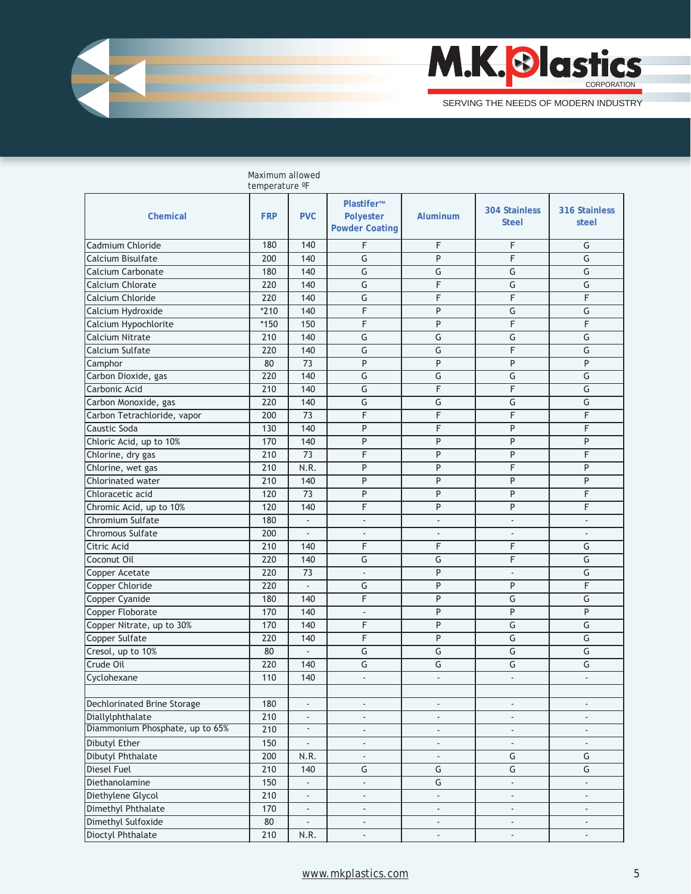

|                                    | temperature °F |                          |                                                  |                          |                                      |                          |
|------------------------------------|----------------|--------------------------|--------------------------------------------------|--------------------------|--------------------------------------|--------------------------|
| <b>Chemical</b>                    | <b>FRP</b>     | <b>PVC</b>               | Plastifer™<br>Polyester<br><b>Powder Coating</b> | Aluminum                 | <b>304 Stainless</b><br><b>Steel</b> | 316 Stainless<br>steel   |
| Cadmium Chloride                   | 180            | 140                      | F                                                | F                        | F                                    | G                        |
| Calcium Bisulfate                  | 200            | 140                      | $\overline{\mathsf{G}}$                          | P                        | F                                    | G                        |
| Calcium Carbonate                  | 180            | 140                      | G                                                | G                        | G                                    | G                        |
| Calcium Chlorate                   | 220            | 140                      | G                                                | F                        | G                                    | G                        |
| Calcium Chloride                   | 220            | 140                      | G                                                | F                        | F                                    | F                        |
| Calcium Hydroxide                  | $*210$         | 140                      | F                                                | P                        | G                                    | G                        |
| Calcium Hypochlorite               | $*150$         | 150                      | F                                                | P                        | F                                    | F                        |
| Calcium Nitrate                    | 210            | 140                      | G                                                | G                        | G                                    | G                        |
| Calcium Sulfate                    | 220            | 140                      | G                                                | $\overline{\mathsf{G}}$  | F                                    | G                        |
| Camphor                            | 80             | 73                       | P                                                | P                        | P                                    | P                        |
| Carbon Dioxide, gas                | 220            | 140                      | G                                                | G                        | G                                    | G                        |
| Carbonic Acid                      | 210            | 140                      | G                                                | F                        | F                                    | G                        |
| Carbon Monoxide, gas               | 220            | 140                      | $\overline{\mathsf{G}}$                          | $\overline{\mathsf{G}}$  | G                                    | G                        |
| Carbon Tetrachloride, vapor        | 200            | 73                       | F                                                | F                        | F                                    | F                        |
| Caustic Soda                       | 130            | 140                      | P                                                | F                        | P                                    | F                        |
| Chloric Acid, up to 10%            | 170            | 140                      | P                                                | P                        | P                                    | P                        |
| Chlorine, dry gas                  | 210            | 73                       | F                                                | P                        | P                                    | F                        |
| Chlorine, wet gas                  | 210            | N.R.                     | P                                                | P                        | F                                    | P                        |
| Chlorinated water                  | 210            | 140                      | P                                                | P                        | P                                    | P                        |
| Chloracetic acid                   | 120            | $\overline{73}$          | P                                                | P                        | P                                    | F                        |
| Chromic Acid, up to 10%            | 120            | 140                      | F                                                | P                        | P                                    | F                        |
| Chromium Sulfate                   | 180            | $\frac{1}{2}$            | $\overline{\phantom{a}}$                         | $\overline{\phantom{a}}$ | $\centerdot$                         | $\overline{\phantom{a}}$ |
| Chromous Sulfate                   | 200            | $\blacksquare$           | $\blacksquare$                                   | $\overline{a}$           | ÷,                                   |                          |
| Citric Acid                        | 210            | 140                      | F                                                | F                        | F                                    | G                        |
| Coconut Oil                        | 220            | 140                      | G                                                | G                        | F                                    | G                        |
| Copper Acetate                     | 220            | 73                       | $\overline{\phantom{a}}$                         | P                        | $\overline{a}$                       | G                        |
| Copper Chloride                    | 220            | $\overline{\phantom{a}}$ | G                                                | P                        | P                                    | F                        |
| Copper Cyanide                     | 180            | 140                      | F                                                | P                        | G                                    | G                        |
| Copper Floborate                   | 170            | 140                      | $\overline{\phantom{a}}$                         | P                        | P                                    | P                        |
| Copper Nitrate, up to 30%          | 170            | 140                      | F                                                | P                        | G                                    | G                        |
| Copper Sulfate                     | 220            | 140                      | F                                                | P                        | G                                    | G                        |
| Cresol, up to 10%                  | 80             | L.                       | G                                                | G                        | G                                    | G                        |
| Crude Oil                          | 220            | 140                      | G                                                | G                        | G                                    | G                        |
| Cyclohexane                        | 110            | 140                      | $\blacksquare$                                   | $\overline{a}$           | ÷,                                   | ÷                        |
|                                    |                |                          |                                                  |                          |                                      |                          |
| <b>Dechlorinated Brine Storage</b> | 180            | $\blacksquare$           | $\blacksquare$                                   | $\blacksquare$           | $\blacksquare$                       | $\overline{\phantom{a}}$ |
| Diallylphthalate                   | 210            | $\overline{\phantom{a}}$ | $\overline{\phantom{a}}$                         | $\overline{\phantom{a}}$ | $\overline{\phantom{a}}$             | $\sim$                   |
| Diammonium Phosphate, up to 65%    | 210            | $\blacksquare$           | $\overline{\phantom{a}}$                         | ÷,                       | $\blacksquare$                       |                          |
| <b>Dibutyl Ether</b>               | 150            | $\overline{\phantom{a}}$ | $\overline{\phantom{a}}$                         | $\overline{a}$           | $\Box$                               | ÷.                       |
| <b>Dibutyl Phthalate</b>           | 200            | N.R.                     | ÷.                                               | ä,                       | G                                    | G                        |
| <b>Diesel Fuel</b>                 | 210            | 140                      | $\overline{\mathsf{G}}$                          | G                        | G                                    | G                        |
| Diethanolamine                     | 150            | $\overline{\phantom{a}}$ | ÷.                                               | G                        | ÷,                                   | $\overline{\phantom{a}}$ |
| Diethylene Glycol                  | 210            | $\overline{\phantom{a}}$ | $\overline{\phantom{a}}$                         | ÷,                       | ÷,                                   |                          |
| Dimethyl Phthalate                 | 170            | $\overline{\phantom{a}}$ | $\overline{\phantom{a}}$                         | ٠                        | $\blacksquare$                       |                          |
| Dimethyl Sulfoxide                 | 80             | $\blacksquare$           | $\overline{\phantom{a}}$                         | $\overline{\phantom{a}}$ | $\overline{\phantom{a}}$             | $\overline{\phantom{0}}$ |
| Dioctyl Phthalate                  | 210            | N.R.                     | ÷,                                               | L,                       | ÷,                                   |                          |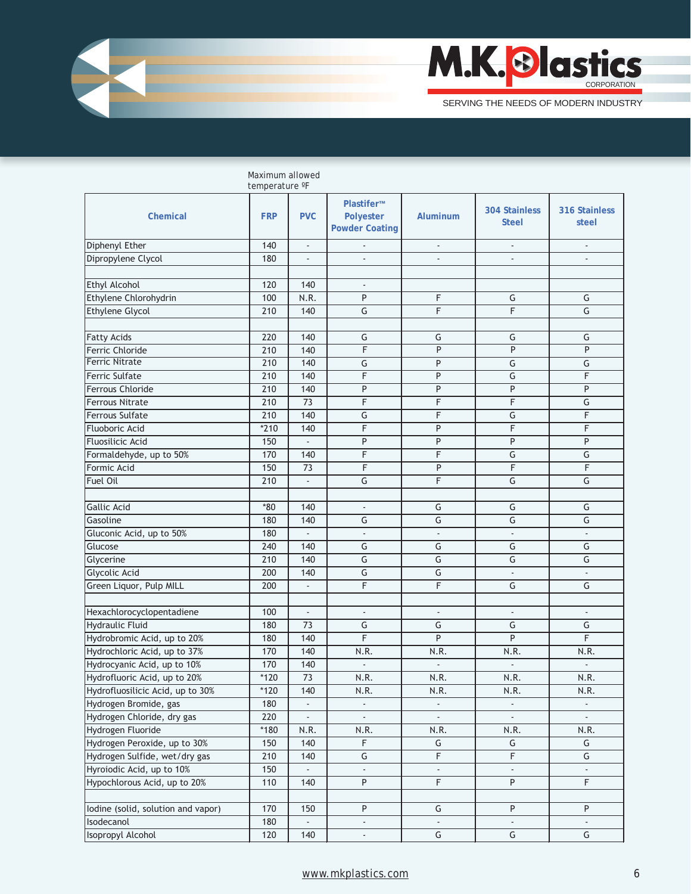

|                                    | Maximum allowed<br>temperature °F |                          |                                                  |                          |                                      |                          |
|------------------------------------|-----------------------------------|--------------------------|--------------------------------------------------|--------------------------|--------------------------------------|--------------------------|
| Chemical                           | <b>FRP</b>                        | <b>PVC</b>               | Plastifer™<br>Polyester<br><b>Powder Coating</b> | Aluminum                 | <b>304 Stainless</b><br><b>Steel</b> | 316 Stainless<br>steel   |
| Diphenyl Ether                     | 140                               | $\overline{\phantom{a}}$ |                                                  | $\frac{1}{2}$            |                                      |                          |
| Dipropylene Clycol                 | 180                               |                          |                                                  |                          |                                      |                          |
|                                    |                                   |                          |                                                  |                          |                                      |                          |
| <b>Ethyl Alcohol</b>               | 120                               | 140                      | $\overline{a}$                                   |                          |                                      |                          |
| Ethylene Chlorohydrin              | 100                               | N.R.                     | P                                                | F                        | G                                    | G                        |
| <b>Ethylene Glycol</b>             | 210                               | 140                      | G                                                | F                        | F                                    | G                        |
|                                    |                                   |                          |                                                  |                          |                                      |                          |
| <b>Fatty Acids</b>                 | 220                               | 140                      | G                                                | G                        | G                                    | G                        |
| Ferric Chloride                    | 210                               | 140                      | F                                                | P                        | P                                    | P                        |
| <b>Ferric Nitrate</b>              | 210                               | 140                      | G                                                | P                        | G                                    | G                        |
| Ferric Sulfate                     | 210                               | 140                      | F                                                | P                        | G                                    | F                        |
| <b>Ferrous Chloride</b>            | 210                               | 140                      | P                                                | P                        | P                                    | P                        |
| <b>Ferrous Nitrate</b>             | 210                               | 73                       | F                                                | F                        | F                                    | G                        |
| <b>Ferrous Sulfate</b>             | 210                               | 140                      | G                                                | F                        | G                                    | F                        |
| <b>Fluoboric Acid</b>              | $*210$                            | 140                      | F                                                | P                        | F                                    | F                        |
| <b>Fluosilicic Acid</b>            | 150                               | $\blacksquare$           | P                                                | P                        | P                                    | P                        |
| Formaldehyde, up to 50%            | 170                               | 140                      | F                                                | $\overline{F}$           | $\overline{\mathsf{G}}$              | G                        |
| Formic Acid                        | 150                               | 73                       | F                                                | P                        | F                                    | F                        |
| <b>Fuel Oil</b>                    | 210                               | $\overline{\phantom{a}}$ | $\overline{\mathsf{G}}$                          | F                        | $\overline{\mathsf{G}}$              | $\overline{G}$           |
|                                    |                                   |                          |                                                  |                          |                                      |                          |
| <b>Gallic Acid</b>                 | $*80$                             | 140                      |                                                  | G                        | G                                    | G                        |
| Gasoline                           | 180                               | 140                      | G                                                | $\overline{\mathsf{G}}$  | $\overline{\mathsf{G}}$              | $\overline{G}$           |
| Gluconic Acid, up to 50%           | 180                               |                          | $\overline{\phantom{a}}$                         | $\overline{\phantom{a}}$ | $\blacksquare$                       | ÷,                       |
| Glucose                            | 240                               | 140                      | G                                                | G                        | G                                    | G                        |
| Glycerine                          | 210                               | 140                      | G                                                | G                        | G                                    | G                        |
| Glycolic Acid                      | 200                               | 140                      | G                                                | G                        | ÷,                                   | $\overline{\phantom{a}}$ |
| Green Liquor, Pulp MILL            | 200                               | $\overline{\phantom{a}}$ | F                                                | F                        | G                                    | G                        |
|                                    |                                   |                          |                                                  |                          |                                      |                          |
| Hexachlorocyclopentadiene          | 100                               | $\blacksquare$           | $\overline{\phantom{a}}$                         | ÷,                       | $\overline{\phantom{a}}$             | ÷,                       |
| Hydraulic Fluid                    | 180                               | 73                       | G                                                | G                        | G                                    | G                        |
| Hydrobromic Acid, up to 20%        | 180                               | 140                      | F                                                | P                        | P                                    | F                        |
| Hydrochloric Acid, up to 37%       | 170                               | 140                      | N.R.                                             | N.R.                     | N.R.                                 | N.R.                     |
| Hydrocyanic Acid, up to 10%        | 170                               | 140                      | $\overline{\phantom{a}}$                         | ÷,                       | $\blacksquare$                       | $\blacksquare$           |
| Hydrofluoric Acid, up to 20%       | $*120$                            | $\overline{73}$          | N.R.                                             | N.R.                     | N.R.                                 | N.R.                     |
| Hydrofluosilicic Acid, up to 30%   | $*120$                            | 140                      | N.R.                                             | N.R.                     | N.R.                                 | N.R.                     |
| Hydrogen Bromide, gas              | 180                               |                          | $\overline{\phantom{a}}$                         | ÷,                       |                                      |                          |
| Hydrogen Chloride, dry gas         | 220                               | ÷,                       | ÷,                                               | ä,                       |                                      |                          |
| Hydrogen Fluoride                  | $*180$                            | N.R.                     | N.R.                                             | N.R.                     | N.R.                                 | N.R.                     |
| Hydrogen Peroxide, up to 30%       | 150                               | 140                      | $\overline{F}$                                   | G                        | G                                    | G                        |
| Hydrogen Sulfide, wet/dry gas      | 210                               | 140                      | $\overline{\mathsf{G}}$                          | $\overline{F}$           | $\overline{F}$                       | G                        |
| Hyroiodic Acid, up to 10%          | 150                               | ä,                       | ä,                                               | ä,                       | $\mathcal{L}$                        | $\sim$                   |
| Hypochlorous Acid, up to 20%       | 110                               | 140                      | $\overline{P}$                                   | F                        | P                                    | $\overline{F}$           |
|                                    |                                   |                          |                                                  |                          |                                      |                          |
| lodine (solid, solution and vapor) | 170                               | 150                      | $\overline{P}$                                   | G                        | P                                    | P                        |
| Isodecanol                         | 180                               |                          | ÷                                                |                          |                                      |                          |
| Isopropyl Alcohol                  | 120                               | 140                      | ÷,                                               | $\overline{\mathsf{G}}$  | G                                    | G                        |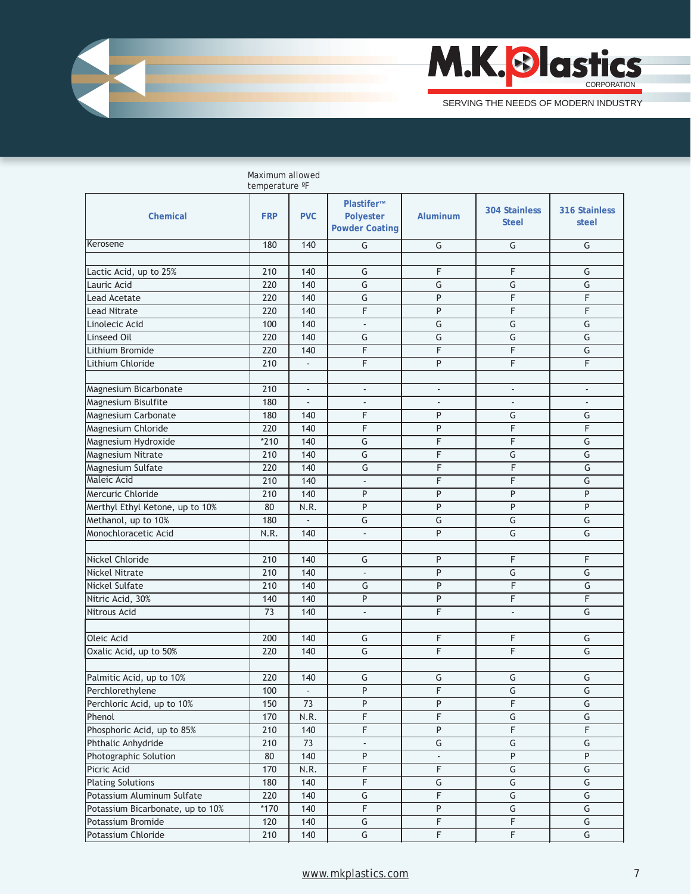

|                                  | temperature °F |                          |                                                         |                          |                                      |                         |
|----------------------------------|----------------|--------------------------|---------------------------------------------------------|--------------------------|--------------------------------------|-------------------------|
| Chemical                         | <b>FRP</b>     | <b>PVC</b>               | Plastifer™<br><b>Polyester</b><br><b>Powder Coating</b> | <b>Aluminum</b>          | <b>304 Stainless</b><br><b>Steel</b> | 316 Stainless<br>steel  |
| Kerosene                         | 180            | 140                      | G                                                       | G                        | G                                    | G                       |
|                                  |                |                          |                                                         |                          |                                      |                         |
| Lactic Acid, up to 25%           | 210            | 140                      | G                                                       | F                        | F                                    | G                       |
| Lauric Acid                      | 220            | 140                      | $\overline{G}$                                          | G                        | G                                    | G                       |
| <b>Lead Acetate</b>              | 220            | 140                      | G                                                       | P                        | F                                    | F                       |
| <b>Lead Nitrate</b>              | 220            | 140                      | F                                                       | P                        | F                                    | F                       |
| Linolecic Acid                   | 100            | 140                      | $\overline{\phantom{a}}$                                | $\overline{\mathsf{G}}$  | $\overline{\mathsf{G}}$              | G                       |
| Linseed Oil                      | 220            | 140                      | G                                                       | G                        | G                                    | G                       |
| Lithium Bromide                  | 220            | 140                      | F                                                       | F                        | F                                    | G                       |
| Lithium Chloride                 | 210            |                          | F                                                       | P                        | F                                    | F                       |
|                                  |                |                          |                                                         |                          |                                      |                         |
| Magnesium Bicarbonate            | 210            | $\overline{\phantom{a}}$ | $\overline{\phantom{a}}$                                | $\overline{\phantom{a}}$ | ÷,                                   | $\blacksquare$          |
| Magnesium Bisulfite              | 180            | $\overline{a}$           | $\overline{\phantom{a}}$                                | $\blacksquare$           | ÷,                                   |                         |
| Magnesium Carbonate              | 180            | 140                      | F                                                       | P                        | G                                    | G                       |
| Magnesium Chloride               | 220            | 140                      | F                                                       | P                        | F                                    | F                       |
| Magnesium Hydroxide              | $*210$         | 140                      | G                                                       | F                        | F                                    | G                       |
| Magnesium Nitrate                | 210            | 140                      | G                                                       | F                        | G                                    | G                       |
| Magnesium Sulfate                | 220            | 140                      | G                                                       | F                        | F                                    | G                       |
| Maleic Acid                      | 210            | 140                      | $\overline{\phantom{a}}$                                | F                        | F                                    | G                       |
| Mercuric Chloride                | 210            | 140                      | P                                                       | P                        | P                                    | P                       |
| Merthyl Ethyl Ketone, up to 10%  | 80             | N.R.                     | P                                                       | P                        | $\overline{P}$                       | $\overline{P}$          |
| Methanol, up to 10%              | 180            | $\overline{\phantom{a}}$ | $\overline{\mathsf{G}}$                                 | $\overline{\mathsf{G}}$  | $\overline{\mathsf{G}}$              | G                       |
| Monochloracetic Acid             | N.R.           | 140                      | L.                                                      | $\overline{P}$           | $\overline{\mathsf{G}}$              | $\overline{G}$          |
|                                  |                |                          |                                                         |                          |                                      |                         |
| Nickel Chloride                  | 210            | 140                      | G                                                       | P                        | F                                    | F                       |
| <b>Nickel Nitrate</b>            | 210            | 140                      | $\overline{a}$                                          | P                        | $\overline{G}$                       | G                       |
| Nickel Sulfate                   | 210            | 140                      | G                                                       | P                        | F                                    | G                       |
| Nitric Acid, 30%                 | 140            | 140                      | P                                                       | P                        | F                                    | F                       |
| Nitrous Acid                     | 73             | 140                      | L.                                                      | F                        | $\overline{\phantom{a}}$             | G                       |
|                                  |                |                          |                                                         |                          |                                      |                         |
| Oleic Acid                       | 200            | 140                      | G                                                       | F                        | F                                    | G                       |
| Oxalic Acid, up to 50%           | 220            | 140                      | G                                                       | F                        | F                                    | G                       |
|                                  |                |                          |                                                         |                          |                                      |                         |
| Palmitic Acid, up to 10%         | 220            | 140                      | G                                                       | G                        | G                                    | G                       |
| Perchlorethylene                 | 100            | ÷                        | Ρ                                                       | F                        | G                                    | G                       |
| Perchloric Acid, up to 10%       | 150            | $\overline{73}$          | P                                                       | P                        | F                                    | G                       |
| Phenol                           | 170            | N.R.                     | $\overline{F}$                                          | $\overline{F}$           | G                                    | G                       |
| Phosphoric Acid, up to 85%       | 210            | 140                      | F                                                       | P                        | $\mathsf F$                          | $\overline{F}$          |
| Phthalic Anhydride               | 210            | 73                       | $\Box$                                                  | G                        | G                                    | G                       |
| Photographic Solution            | 80             | 140                      | P                                                       |                          | $\overline{P}$                       | $\overline{P}$          |
| Picric Acid                      | 170            | N.R.                     | F                                                       | F                        | G                                    | G                       |
| <b>Plating Solutions</b>         | 180            | 140                      | $\overline{F}$                                          | G                        | $\overline{\mathsf{G}}$              | $\overline{\mathsf{G}}$ |
| Potassium Aluminum Sulfate       | 220            | 140                      | $\overline{\mathsf{G}}$                                 | F.                       | G                                    | G                       |
| Potassium Bicarbonate, up to 10% | $*170$         | 140                      | F                                                       | P                        | G                                    | G                       |
| Potassium Bromide                | 120            | 140                      | G                                                       | F                        | $\mathsf F$                          | G                       |
| Potassium Chloride               | 210            | 140                      | $\overline{\mathsf{G}}$                                 | F                        | F                                    | G                       |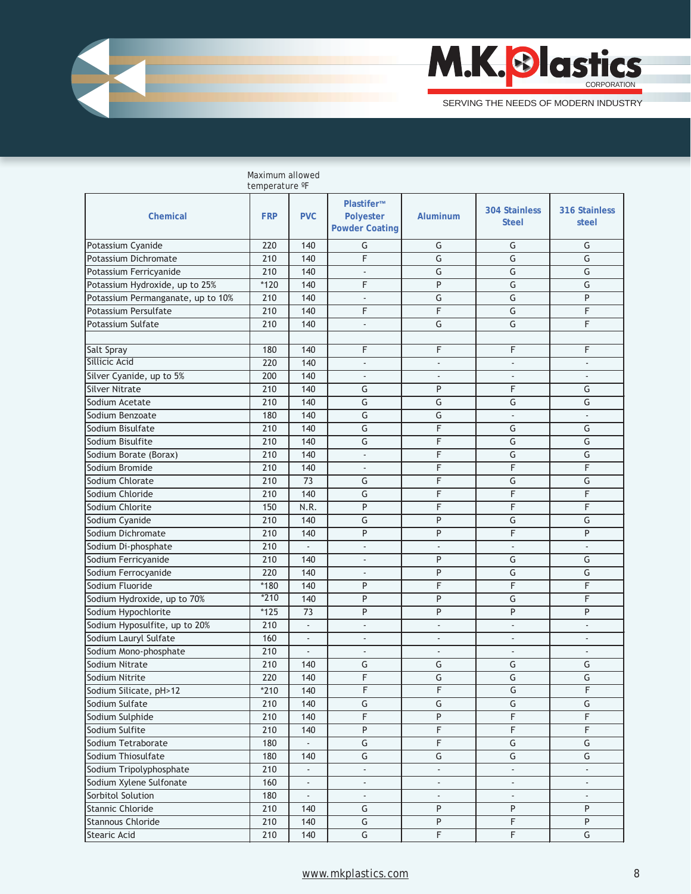

|                                                | temperature °F |                          |                                                         |                          |                                      |                         |
|------------------------------------------------|----------------|--------------------------|---------------------------------------------------------|--------------------------|--------------------------------------|-------------------------|
| <b>Chemical</b>                                | <b>FRP</b>     | <b>PVC</b>               | Plastifer™<br><b>Polyester</b><br><b>Powder Coating</b> | Aluminum                 | <b>304 Stainless</b><br><b>Steel</b> | 316 Stainless<br>steel  |
| Potassium Cyanide                              | 220            | 140                      | G                                                       | G                        | G                                    | G                       |
| Potassium Dichromate                           | 210            | 140                      | F                                                       | G                        | $\overline{\mathsf{G}}$              | G                       |
| Potassium Ferricyanide                         | 210            | 140                      | $\overline{\phantom{a}}$                                | G                        | G                                    | G                       |
| Potassium Hydroxide, up to 25%                 | $*120$         | 140                      | F                                                       | P                        | G                                    | G                       |
| Potassium Permanganate, up to 10%              | 210            | 140                      | $\overline{\phantom{a}}$                                | G                        | G                                    | P                       |
| Potassium Persulfate                           | 210            | 140                      | F                                                       | F                        | G                                    | F                       |
| Potassium Sulfate                              | 210            | 140                      | $\overline{\phantom{a}}$                                | G                        | G                                    | F                       |
|                                                |                |                          |                                                         |                          |                                      |                         |
| <b>Salt Spray</b>                              | 180            | 140                      | F                                                       | F                        | F                                    | F                       |
| Sillicic Acid                                  | 220            | 140                      | $\overline{a}$                                          | $\overline{a}$           | $\overline{a}$                       |                         |
| Silver Cyanide, up to 5%                       | 200            | 140                      | $\overline{a}$                                          | $\overline{a}$           | $\overline{a}$                       |                         |
| <b>Silver Nitrate</b>                          | 210            | 140                      | G                                                       | P                        | F                                    | G                       |
| Sodium Acetate                                 | 210            | 140                      | G                                                       | G                        | G                                    | G                       |
| Sodium Benzoate                                | 180            | 140                      | G                                                       | G                        | ÷                                    |                         |
| Sodium Bisulfate                               | 210            | 140                      | G                                                       | F                        | G                                    | G                       |
| Sodium Bisulfite                               | 210            | 140                      | G                                                       | F                        | G                                    | G                       |
| Sodium Borate (Borax)                          | 210            | 140                      | $\overline{\phantom{a}}$                                | F                        | G                                    | G                       |
| Sodium Bromide                                 | 210            | 140                      | ä,                                                      | F                        | F                                    | F                       |
| Sodium Chlorate                                | 210            | 73                       | G                                                       | F                        | G                                    | G                       |
| Sodium Chloride                                | 210            | 140                      | G                                                       | F                        | F                                    | F                       |
| Sodium Chlorite                                | 150            | N.R.                     | P                                                       | F                        | F                                    | F                       |
| Sodium Cyanide                                 | 210            | 140                      | G                                                       | P                        | G                                    | G                       |
| Sodium Dichromate                              | 210            | 140                      | P                                                       | P                        | F                                    | P                       |
| Sodium Di-phosphate                            | 210            | ÷,                       | $\overline{a}$                                          | $\overline{a}$           | $\overline{\phantom{a}}$             |                         |
| Sodium Ferricyanide                            | 210            | 140                      | $\overline{a}$                                          | P                        | G                                    | G                       |
| Sodium Ferrocyanide                            | 220            | 140                      | $\overline{a}$                                          | P                        | G                                    | G                       |
| Sodium Fluoride                                | $*180$         | 140                      | P                                                       | F                        | F                                    | F                       |
| Sodium Hydroxide, up to 70%                    | $*210$         | 140                      | P                                                       | P                        | G                                    | F                       |
| Sodium Hypochlorite                            | $*125$         | 73                       | P                                                       | P                        | P                                    | P                       |
| Sodium Hyposulfite, up to 20%                  | 210            | L.                       | $\overline{\phantom{a}}$                                | ÷,                       | $\overline{\phantom{a}}$             | ÷.                      |
|                                                |                | L.                       | $\overline{a}$                                          | $\blacksquare$           | $\overline{\phantom{a}}$             |                         |
| Sodium Lauryl Sulfate<br>Sodium Mono-phosphate | 160<br>210     | L.                       | $\overline{a}$                                          | $\blacksquare$           | $\overline{\phantom{a}}$             | $\overline{a}$          |
| Sodium Nitrate                                 | 210            |                          | G                                                       | G                        | G                                    | G                       |
|                                                | 220            | 140                      | F                                                       | G                        | G                                    | G                       |
| Sodium Nitrite                                 | $*210$         | 140                      | F                                                       | F                        | G                                    | F                       |
| Sodium Silicate, pH>12<br>Sodium Sulfate       | 210            | 140<br>140               | $\overline{\mathsf{G}}$                                 | G                        | G                                    | $\overline{\mathsf{G}}$ |
| Sodium Sulphide                                | 210            | 140                      | F                                                       | $\sf P$                  | $\mathsf F$                          | F                       |
|                                                |                |                          | $\overline{P}$                                          | $\overline{F}$           | $\overline{F}$                       |                         |
| Sodium Sulfite                                 | 210            | 140                      |                                                         |                          |                                      | F                       |
| Sodium Tetraborate                             | 180            | $\overline{\phantom{a}}$ | $\overline{\mathsf{G}}$<br>$\overline{\mathsf{G}}$      | $\overline{F}$           | $\overline{\mathsf{G}}$              | G                       |
| Sodium Thiosulfate                             | 180            | 140                      |                                                         | $\overline{\mathsf{G}}$  | G                                    | G                       |
| Sodium Tripolyphosphate                        | 210            | $\overline{\phantom{a}}$ | $\overline{\phantom{a}}$                                | $\overline{\phantom{a}}$ | $\overline{\phantom{a}}$             | ÷.                      |
| Sodium Xylene Sulfonate                        | 160            | ۰                        | ä,                                                      | ÷,                       | ÷,                                   |                         |
| Sorbitol Solution                              | 180            | ÷.                       | ÷,                                                      | ä,                       | $\overline{a}$                       |                         |
| Stannic Chloride                               | 210            | 140                      | G                                                       | P                        | P                                    | P                       |
| Stannous Chloride                              | 210            | 140                      | $\overline{\mathsf{G}}$                                 | $\sf P$                  | $\overline{\mathsf{F}}$              | P                       |
| Stearic Acid                                   | 210            | 140                      | $\overline{\mathsf{G}}$                                 | $\overline{\mathsf{F}}$  | $\overline{\mathsf{F}}$              | ${\mathsf G}$           |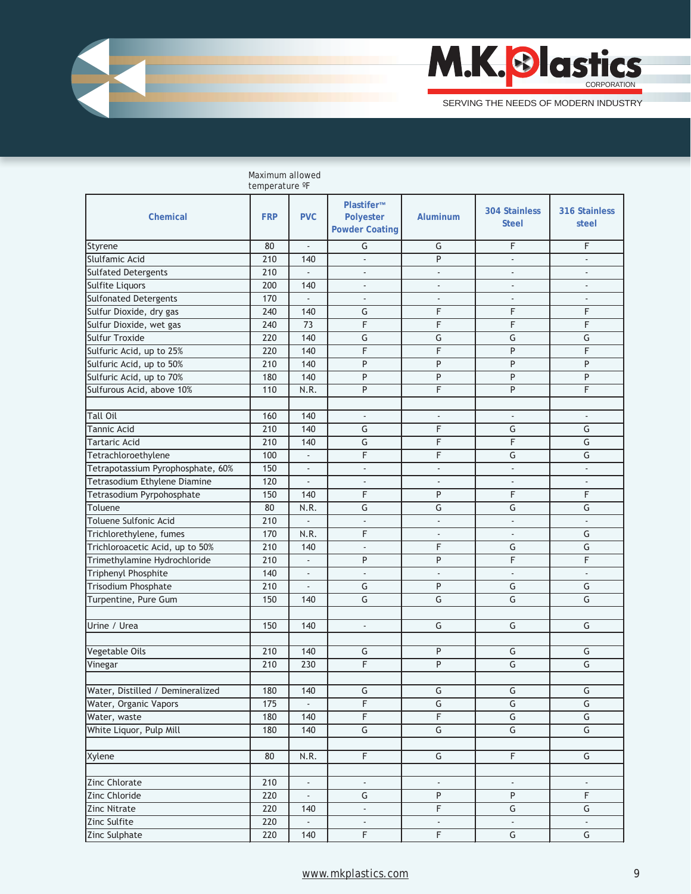

|                                   | temperature °F |                             |                                                  |                          |                                      |                             |
|-----------------------------------|----------------|-----------------------------|--------------------------------------------------|--------------------------|--------------------------------------|-----------------------------|
| Chemical                          | <b>FRP</b>     | <b>PVC</b>                  | Plastifer™<br>Polyester<br><b>Powder Coating</b> | Aluminum                 | <b>304 Stainless</b><br><b>Steel</b> | 316 Stainless<br>steel      |
| Styrene                           | 80             | ÷.                          | G                                                | G                        | F                                    | F                           |
| Slulfamic Acid                    | 210            | 140                         | $\Box$                                           | P                        | $\overline{a}$                       |                             |
| <b>Sulfated Detergents</b>        | 210            | $\blacksquare$              | $\blacksquare$                                   | $\blacksquare$           | $\overline{\phantom{a}}$             | $\blacksquare$              |
| Sulfite Liquors                   | 200            | 140                         | ٠                                                | $\overline{\phantom{a}}$ | $\overline{\phantom{a}}$             | ٠                           |
| <b>Sulfonated Detergents</b>      | 170            |                             | $\overline{\phantom{a}}$                         | $\overline{\phantom{a}}$ | $\overline{\phantom{a}}$             | $\overline{\phantom{a}}$    |
| Sulfur Dioxide, dry gas           | 240            | 140                         | G                                                | F                        | F                                    | F                           |
| Sulfur Dioxide, wet gas           | 240            | 73                          | F                                                | F                        | F                                    | $\mathsf F$                 |
| <b>Sulfur Troxide</b>             | 220            | 140                         | $\overline{\mathsf{G}}$                          | G                        | G                                    | G                           |
| Sulfuric Acid, up to 25%          | 220            | 140                         | F                                                | F                        | P                                    | F                           |
| Sulfuric Acid, up to 50%          | 210            | 140                         | $\overline{P}$                                   | P                        | $\overline{P}$                       | P                           |
| Sulfuric Acid, up to 70%          | 180            | 140                         | $\overline{P}$                                   | P                        | $\overline{P}$                       | P                           |
| Sulfurous Acid, above 10%         | 110            | N.R.                        | P                                                | F                        | P                                    | F                           |
|                                   |                |                             |                                                  |                          |                                      |                             |
| <b>Tall Oil</b>                   | 160            | 140                         | ÷.                                               | ÷.                       | $\mathcal{L}$                        | $\omega$                    |
| Tannic Acid                       | 210            | 140                         | G                                                | F                        | G                                    | G                           |
| <b>Tartaric Acid</b>              | 210            | 140                         | G                                                | F                        | F                                    | G                           |
| Tetrachloroethylene               | 100            | ä,                          | F                                                | F                        | G                                    | G                           |
| Tetrapotassium Pyrophosphate, 60% | 150            | $\blacksquare$              | $\overline{\phantom{a}}$                         | $\overline{\phantom{a}}$ | $\overline{\phantom{a}}$             | $\mathcal{L}^{\mathcal{L}}$ |
| Tetrasodium Ethylene Diamine      | 120            | $\frac{1}{2}$               | $\overline{\phantom{a}}$                         | $\overline{\phantom{a}}$ | $\overline{\phantom{a}}$             | $\overline{\phantom{a}}$    |
| Tetrasodium Pyrpohosphate         | 150            | 140                         | F                                                | P                        | F                                    | F                           |
| Toluene                           | 80             | N.R.                        | $\overline{\mathsf{G}}$                          | $\overline{\mathsf{G}}$  | $\overline{\mathsf{G}}$              | G                           |
| Toluene Sulfonic Acid             | 210            | $\overline{a}$              | $\overline{\phantom{a}}$                         | ä,                       | $\blacksquare$                       | $\omega$                    |
| Trichlorethylene, fumes           | 170            | N.R.                        | F                                                | $\blacksquare$           | $\overline{\phantom{a}}$             | G                           |
| Trichloroacetic Acid, up to 50%   | 210            | 140                         | L.                                               | F                        | G                                    | G                           |
| Trimethylamine Hydrochloride      | 210            | ÷.                          | P                                                | P                        | F                                    | F                           |
| Triphenyl Phosphite               | 140            | $\overline{\phantom{a}}$    | $\blacksquare$                                   | $\blacksquare$           | $\overline{\phantom{a}}$             | $\overline{\phantom{a}}$    |
| Trisodium Phosphate               | 210            | L.                          | G                                                | P                        | G                                    | G                           |
| Turpentine, Pure Gum              | 150            | 140                         | G                                                | G                        | G                                    | G                           |
|                                   |                |                             |                                                  |                          |                                      |                             |
| Urine / Urea                      | 150            | 140                         | $\Box$                                           | G                        | G                                    | G                           |
|                                   |                |                             |                                                  |                          |                                      |                             |
| Vegetable Oils                    | 210            | 140                         | G                                                | P                        | G                                    | G                           |
| Vinegar                           | 210            | 230                         | F                                                | P                        | $\overline{\mathsf{G}}$              | G                           |
|                                   |                |                             |                                                  |                          |                                      |                             |
| Water, Distilled / Demineralized  | 180            | 140                         | G                                                | G                        | G                                    | G                           |
| Water, Organic Vapors             | 175            | $\overline{\phantom{a}}$    | $\overline{F}$                                   | $\overline{\mathsf{G}}$  | $\overline{\mathsf{G}}$              | $\overline{\mathsf{G}}$     |
| Water, waste                      | 180            | 140                         | $\overline{F}$                                   | $\overline{\mathsf{F}}$  | G                                    | $\overline{G}$              |
| White Liquor, Pulp Mill           | 180            | 140                         | $\overline{\mathsf{G}}$                          | $\overline{\mathsf{G}}$  | G                                    | $\overline{\mathsf{G}}$     |
|                                   |                |                             |                                                  |                          |                                      |                             |
| Xylene                            | 80             | N.R.                        | $\overline{F}$                                   | G                        | $\overline{F}$                       | G                           |
|                                   |                |                             |                                                  |                          |                                      |                             |
| Zinc Chlorate                     | 210            | $\Box$                      |                                                  |                          |                                      |                             |
| Zinc Chloride                     | 220            | $\mathcal{L}^{\mathcal{A}}$ | G                                                | P                        | P                                    | F                           |
| <b>Zinc Nitrate</b>               | 220            | 140                         | $\Box$                                           | $\overline{F}$           | G                                    | G                           |
| Zinc Sulfite                      | 220            | ä,                          | $\overline{\phantom{a}}$                         | $\overline{\phantom{a}}$ | $\overline{\phantom{a}}$             | $\sim$                      |
| Zinc Sulphate                     | 220            | 140                         | $\overline{\mathsf{F}}$                          | F                        | G                                    | G                           |
|                                   |                |                             |                                                  |                          |                                      |                             |

Maximum allowed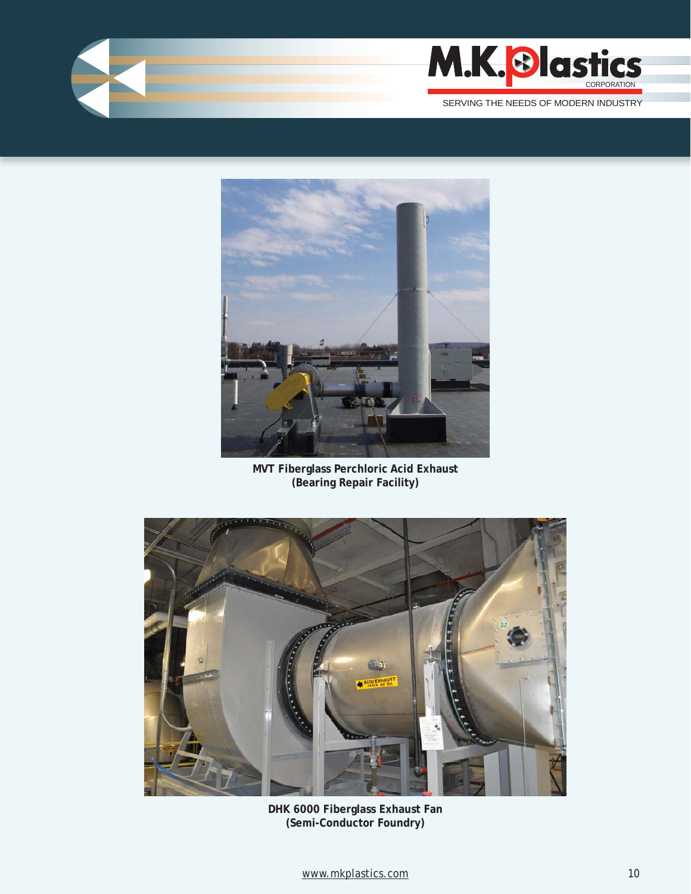



**MVT Fiberglass Perchloric Acid Exhaust (Bearing Repair Facility)**



**DHK 6000 Fiberglass Exhaust Fan (Semi-Conductor Foundry)**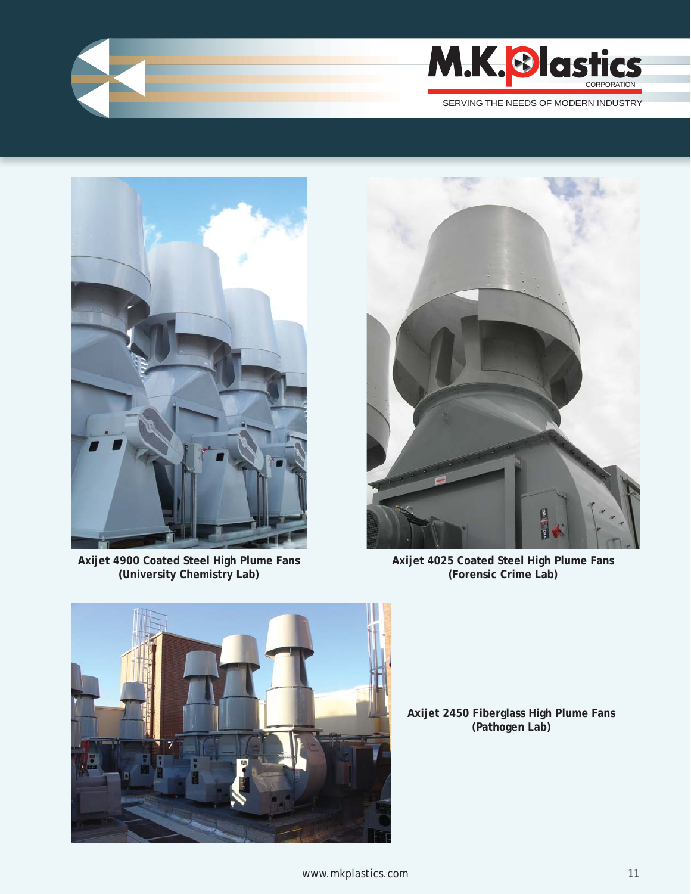



**Axijet 4900 Coated Steel High Plume Fans (University Chemistry Lab)** 



**Axijet 4025 Coated Steel High Plume Fans (Forensic Crime Lab)** 



**Axijet 2450 Fiberglass High Plume Fans (Pathogen Lab)**